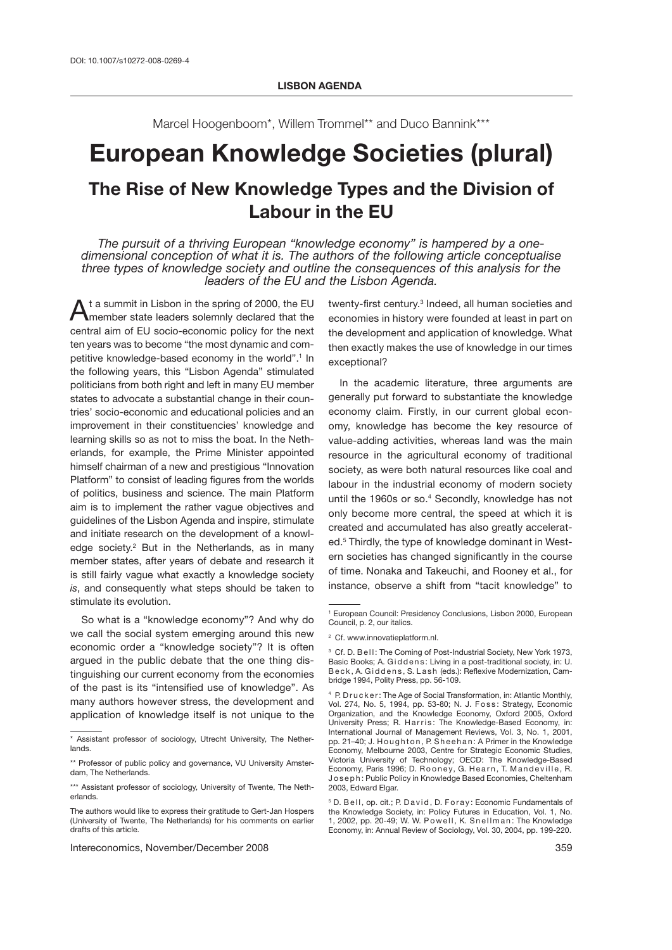Marcel Hoogenboom\*, Willem Trommel\*\* and Duco Bannink\*\*\*

# **European Knowledge Societies (plural) The Rise of New Knowledge Types and the Division of Labour in the EU**

*The pursuit of a thriving European "knowledge economy" is hampered by a onedimensional conception of what it is. The authors of the following article conceptualise three types of knowledge society and outline the consequences of this analysis for the leaders of the EU and the Lisbon Agenda.*

 $A<sup>t</sup>$  a summit in Lisbon in the spring of 2000, the EU member state leaders solemnly declared that the central aim of EU socio-economic policy for the next ten years was to become "the most dynamic and competitive knowledge-based economy in the world".<sup>1</sup> In the following years, this "Lisbon Agenda" stimulated politicians from both right and left in many EU member states to advocate a substantial change in their countries' socio-economic and educational policies and an improvement in their constituencies' knowledge and learning skills so as not to miss the boat. In the Netherlands, for example, the Prime Minister appointed himself chairman of a new and prestigious "Innovation Platform" to consist of leading figures from the worlds of politics, business and science. The main Platform aim is to implement the rather vague objectives and guidelines of the Lisbon Agenda and inspire, stimulate and initiate research on the development of a knowledge society.<sup>2</sup> But in the Netherlands, as in many member states, after years of debate and research it is still fairly vague what exactly a knowledge society *is*, and consequently what steps should be taken to stimulate its evolution.

So what is a "knowledge economy"? And why do we call the social system emerging around this new economic order a "knowledge society"? It is often argued in the public debate that the one thing distinguishing our current economy from the economies of the past is its "intensified use of knowledge". As many authors however stress, the development and application of knowledge itself is not unique to the

Intereconomics, November/December 2008

twenty-first century.<sup>3</sup> Indeed, all human societies and economies in history were founded at least in part on the development and application of knowledge. What then exactly makes the use of knowledge in our times exceptional?

In the academic literature, three arguments are generally put forward to substantiate the knowledge economy claim. Firstly, in our current global economy, knowledge has become the key resource of value-adding activities, whereas land was the main resource in the agricultural economy of traditional society, as were both natural resources like coal and labour in the industrial economy of modern society until the 1960s or so.<sup>4</sup> Secondly, knowledge has not only become more central, the speed at which it is created and accumulated has also greatly accelerated.5 Thirdly, the type of knowledge dominant in Western societies has changed significantly in the course of time. Nonaka and Takeuchi, and Rooney et al., for instance, observe a shift from "tacit knowledge" to

<sup>\*</sup> Assistant professor of sociology, Utrecht University, The Netherlands.

<sup>\*\*</sup> Professor of public policy and governance, VU University Amsterdam, The Netherlands.

<sup>\*\*\*</sup> Assistant professor of sociology, University of Twente, The Netherlands.

The authors would like to express their gratitude to Gert-Jan Hospers (University of Twente, The Netherlands) for his comments on earlier drafts of this article.

<sup>1</sup> European Council: Presidency Conclusions, Lisbon 2000, European Council, p. 2, our italics.

<sup>2</sup> Cf. www.innovatieplatform.nl.

<sup>&</sup>lt;sup>3</sup> Cf. D. Bell: The Coming of Post-Industrial Society, New York 1973, Basic Books; A. Giddens: Living in a post-traditional society, in: U. Beck, A. Giddens, S. Lash (eds.): Reflexive Modernization, Cambridge 1994, Polity Press, pp. 56-109.

<sup>4</sup> P. D r u c k e r : The Age of Social Transformation, in: Atlantic Monthly, Vol. 274, No. 5, 1994, pp. 53-80; N. J. Foss: Strategy, Economic Organization, and the Knowledge Economy, Oxford 2005, Oxford University Press; R. Harris: The Knowledge-Based Economy, in: International Journal of Management Reviews, Vol. 3, No. 1, 2001, pp. 21–40; J. Houghton, P. Sheehan: A Primer in the Knowledge Economy, Melbourne 2003, Centre for Strategic Economic Studies, Victoria University of Technology; OECD: The Knowledge-Based Economy, Paris 1996; D. Rooney, G. Hearn, T. Mandeville, R. Joseph: Public Policy in Knowledge Based Economies, Cheltenham 2003, Edward Elgar.

<sup>&</sup>lt;sup>5</sup> D. Bell, op. cit.; P. David, D. Foray: Economic Fundamentals of the Knowledge Society, in: Policy Futures in Education, Vol. 1, No. 1, 2002, pp. 20-49; W. W. Powell, K. Snellman: The Knowledge Economy, in: Annual Review of Sociology, Vol. 30, 2004, pp. 199-220.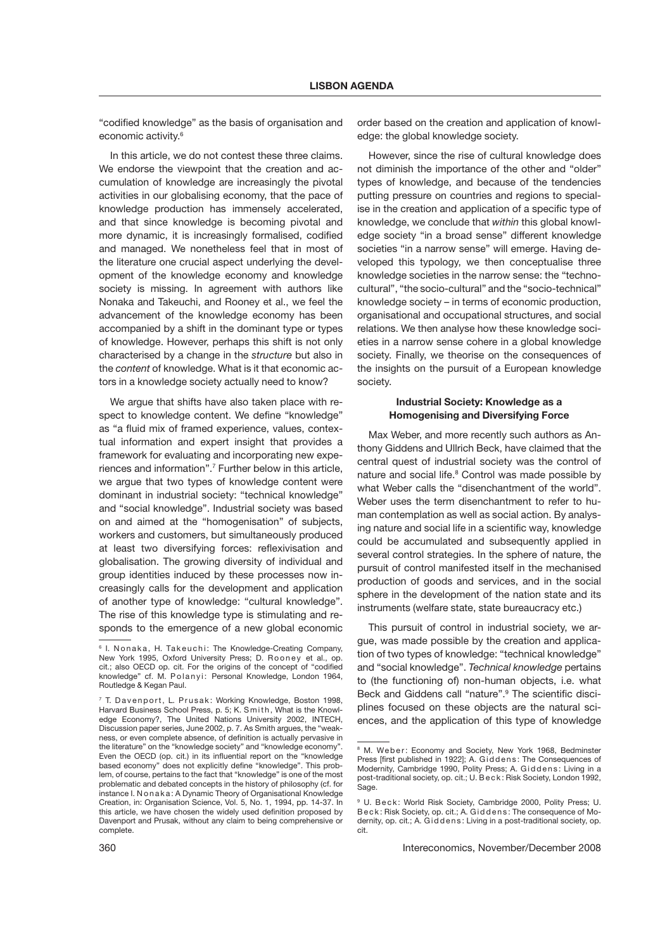"codified knowledge" as the basis of organisation and economic activity.<sup>6</sup>

In this article, we do not contest these three claims. We endorse the viewpoint that the creation and accumulation of knowledge are increasingly the pivotal activities in our globalising economy, that the pace of knowledge production has immensely accelerated, and that since knowledge is becoming pivotal and more dynamic, it is increasingly formalised, codified and managed. We nonetheless feel that in most of the literature one crucial aspect underlying the development of the knowledge economy and knowledge society is missing. In agreement with authors like Nonaka and Takeuchi, and Rooney et al., we feel the advancement of the knowledge economy has been accompanied by a shift in the dominant type or types of knowledge. However, perhaps this shift is not only characterised by a change in the *structure* but also in the *content* of knowledge. What is it that economic actors in a knowledge society actually need to know?

We argue that shifts have also taken place with respect to knowledge content. We define "knowledge" as "a fluid mix of framed experience, values, contextual information and expert insight that provides a framework for evaluating and incorporating new experiences and information".7 Further below in this article, we argue that two types of knowledge content were dominant in industrial society: "technical knowledge" and "social knowledge". Industrial society was based on and aimed at the "homogenisation" of subjects, workers and customers, but simultaneously produced at least two diversifying forces: reflexivisation and globalisation. The growing diversity of individual and group identities induced by these processes now increasingly calls for the development and application of another type of knowledge: "cultural knowledge". The rise of this knowledge type is stimulating and responds to the emergence of a new global economic order based on the creation and application of knowledge: the global knowledge society.

However, since the rise of cultural knowledge does not diminish the importance of the other and "older" types of knowledge, and because of the tendencies putting pressure on countries and regions to specialise in the creation and application of a specific type of knowledge, we conclude that *within* this global knowledge society "in a broad sense" different knowledge societies "in a narrow sense" will emerge. Having developed this typology, we then conceptualise three knowledge societies in the narrow sense: the "technocultural", "the socio-cultural" and the "socio-technical" knowledge society – in terms of economic production, organisational and occupational structures, and social relations. We then analyse how these knowledge societies in a narrow sense cohere in a global knowledge society. Finally, we theorise on the consequences of the insights on the pursuit of a European knowledge society.

## **Industrial Society: Knowledge as a Homogenising and Diversifying Force**

Max Weber, and more recently such authors as Anthony Giddens and Ullrich Beck, have claimed that the central quest of industrial society was the control of nature and social life.<sup>8</sup> Control was made possible by what Weber calls the "disenchantment of the world". Weber uses the term disenchantment to refer to human contemplation as well as social action. By analysing nature and social life in a scientific way, knowledge could be accumulated and subsequently applied in several control strategies. In the sphere of nature, the pursuit of control manifested itself in the mechanised production of goods and services, and in the social sphere in the development of the nation state and its instruments (welfare state, state bureaucracy etc.)

This pursuit of control in industrial society, we argue, was made possible by the creation and application of two types of knowledge: "technical knowledge" and "social knowledge". *Technical knowledge* pertains to (the functioning of) non-human objects, i.e. what Beck and Giddens call "nature".<sup>9</sup> The scientific disciplines focused on these objects are the natural sciences, and the application of this type of knowledge

<sup>&</sup>lt;sup>6</sup> I. Nonaka, H. Takeuchi: The Knowledge-Creating Company, New York 1995, Oxford University Press; D. Rooney et al., op. cit.; also OECD op. cit. For the origins of the concept of "codified knowledge" cf. M. Polanyi: Personal Knowledge, London 1964, Routledge & Kegan Paul.

<sup>&</sup>lt;sup>7</sup> T. Davenport, L. Prusak: Working Knowledge, Boston 1998, Harvard Business School Press, p. 5; K. Smith, What is the Knowledge Economy?, The United Nations University 2002, INTECH, Discussion paper series, June 2002, p. 7. As Smith argues, the "weakness, or even complete absence, of definition is actually pervasive in the literature" on the "knowledge society" and "knowledge economy". Even the OECD (op. cit.) in its influential report on the "knowledge based economy" does not explicitly define "knowledge". This problem, of course, pertains to the fact that "knowledge" is one of the most problematic and debated concepts in the history of philosophy (cf. for instance I. Non a k a: A Dynamic Theory of Organisational Knowledge Creation, in: Organisation Science, Vol. 5, No. 1, 1994, pp. 14-37. In this article, we have chosen the widely used definition proposed by Davenport and Prusak, without any claim to being comprehensive or complete.

<sup>&</sup>lt;sup>8</sup> M. Weber: Economy and Society, New York 1968, Bedminster Press [first published in 1922]; A. Giddens: The Consequences of Modernity, Cambridge 1990, Polity Press; A. Giddens: Living in a post-traditional society, op. cit.; U. B e c k : Risk Society, London 1992, Sage.

<sup>&</sup>lt;sup>9</sup> U. Beck: World Risk Society, Cambridge 2000, Polity Press; U. Beck: Risk Society, op. cit.; A. Giddens: The consequence of Modernity, op. cit.; A. Giddens: Living in a post-traditional society, op. cit.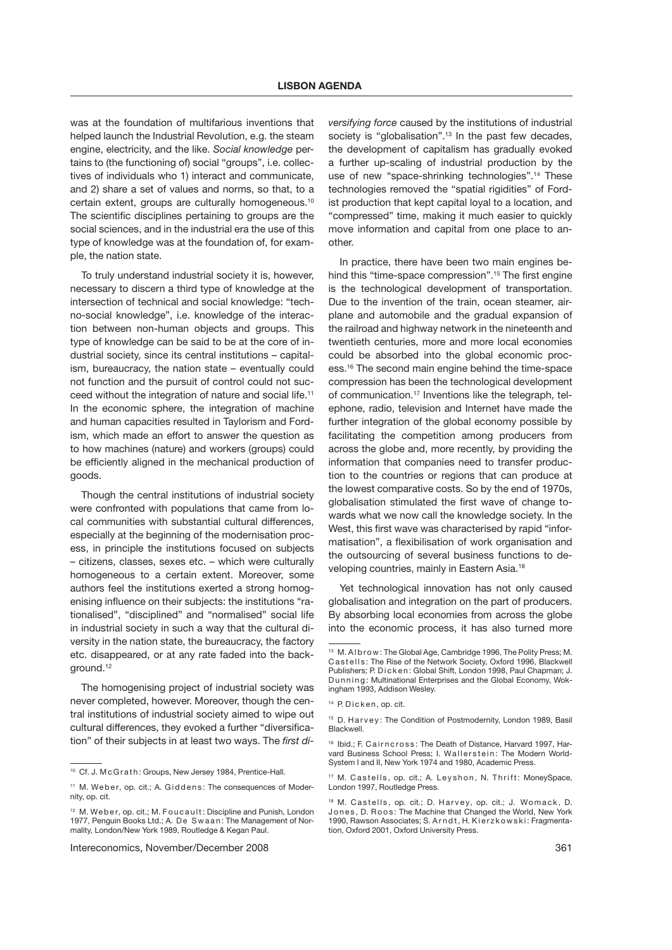was at the foundation of multifarious inventions that helped launch the Industrial Revolution, e.g. the steam engine, electricity, and the like. *Social knowledge* pertains to (the functioning of) social "groups", i.e. collectives of individuals who 1) interact and communicate, and 2) share a set of values and norms, so that, to a certain extent, groups are culturally homogeneous.10 The scientific disciplines pertaining to groups are the social sciences, and in the industrial era the use of this type of knowledge was at the foundation of, for example, the nation state.

To truly understand industrial society it is, however, necessary to discern a third type of knowledge at the intersection of technical and social knowledge: "techno-social knowledge", i.e. knowledge of the interaction between non-human objects and groups. This type of knowledge can be said to be at the core of industrial society, since its central institutions – capitalism, bureaucracy, the nation state – eventually could not function and the pursuit of control could not succeed without the integration of nature and social life.11 In the economic sphere, the integration of machine and human capacities resulted in Taylorism and Fordism, which made an effort to answer the question as to how machines (nature) and workers (groups) could be efficiently aligned in the mechanical production of goods.

Though the central institutions of industrial society were confronted with populations that came from local communities with substantial cultural differences, especially at the beginning of the modernisation process, in principle the institutions focused on subjects – citizens, classes, sexes etc. – which were culturally homogeneous to a certain extent. Moreover, some authors feel the institutions exerted a strong homogenising influence on their subiects: the institutions "rationalised", "disciplined" and "normalised" social life in industrial society in such a way that the cultural diversity in the nation state, the bureaucracy, the factory etc. disappeared, or at any rate faded into the background.12

The homogenising project of industrial society was never completed, however. Moreover, though the central institutions of industrial society aimed to wipe out cultural differences, they evoked a further "diversification" of their subjects in at least two ways. The *first di-*

Intereconomics, November/December 2008

*versifying force* caused by the institutions of industrial society is "globalisation".<sup>13</sup> In the past few decades, the development of capitalism has gradually evoked a further up-scaling of industrial production by the use of new "space-shrinking technologies".<sup>14</sup> These technologies removed the "spatial rigidities" of Fordist production that kept capital loyal to a location, and "compressed" time, making it much easier to quickly move information and capital from one place to another.

In practice, there have been two main engines behind this "time-space compression".<sup>15</sup> The first engine is the technological development of transportation. Due to the invention of the train, ocean steamer, airplane and automobile and the gradual expansion of the railroad and highway network in the nineteenth and twentieth centuries, more and more local economies could be absorbed into the global economic process.16 The second main engine behind the time-space compression has been the technological development of communication.17 Inventions like the telegraph, telephone, radio, television and Internet have made the further integration of the global economy possible by facilitating the competition among producers from across the globe and, more recently, by providing the information that companies need to transfer production to the countries or regions that can produce at the lowest comparative costs. So by the end of 1970s, globalisation stimulated the first wave of change towards what we now call the knowledge society. In the West, this first wave was characterised by rapid "informatisation", a flexibilisation of work organisation and the outsourcing of several business functions to developing countries, mainly in Eastern Asia.18

Yet technological innovation has not only caused globalisation and integration on the part of producers. By absorbing local economies from across the globe into the economic process, it has also turned more

<sup>&</sup>lt;sup>10</sup> Cf. J. M c G r at h: Groups, New Jersey 1984, Prentice-Hall.

<sup>&</sup>lt;sup>11</sup> M. Weber, op. cit.; A. Giddens: The consequences of Modernity, op. cit.

 $12$  M. We ber, op. cit.; M. Fou cault: Discipline and Punish, London 1977, Penguin Books Ltd.; A. De Swaan: The Management of Normality, London/New York 1989, Routledge & Kegan Paul.

<sup>&</sup>lt;sup>13</sup> M. Albrow: The Global Age, Cambridge 1996, The Polity Press; M. Castells: The Rise of the Network Society, Oxford 1996, Blackwell Publishers; P. Dicken: Global Shift, London 1998, Paul Chapman; J. Dunning: Multinational Enterprises and the Global Economy, Wokingham 1993, Addison Wesley.

<sup>&</sup>lt;sup>14</sup> P. Dicken, op. cit.

<sup>&</sup>lt;sup>15</sup> D. Harvey: The Condition of Postmodernity, London 1989, Basil Blackwell.

<sup>16</sup> Ibid.; F. Cairncross: The Death of Distance, Harvard 1997, Harvard Business School Press; I. Wallerstein: The Modern World-System I and II, New York 1974 and 1980, Academic Press.

<sup>&</sup>lt;sup>17</sup> M. Castells, op. cit.; A. Leyshon, N. Thrift: MoneySpace, London 1997, Routledge Press.

<sup>&</sup>lt;sup>18</sup> M. Castells, op. cit.; D. Harvey, op. cit.; J. Womack, D. Jones, D. Roos: The Machine that Changed the World, New York 1990, Rawson Associates; S. Arndt, H. Kierzkowski: Fragmentation, Oxford 2001, Oxford University Press.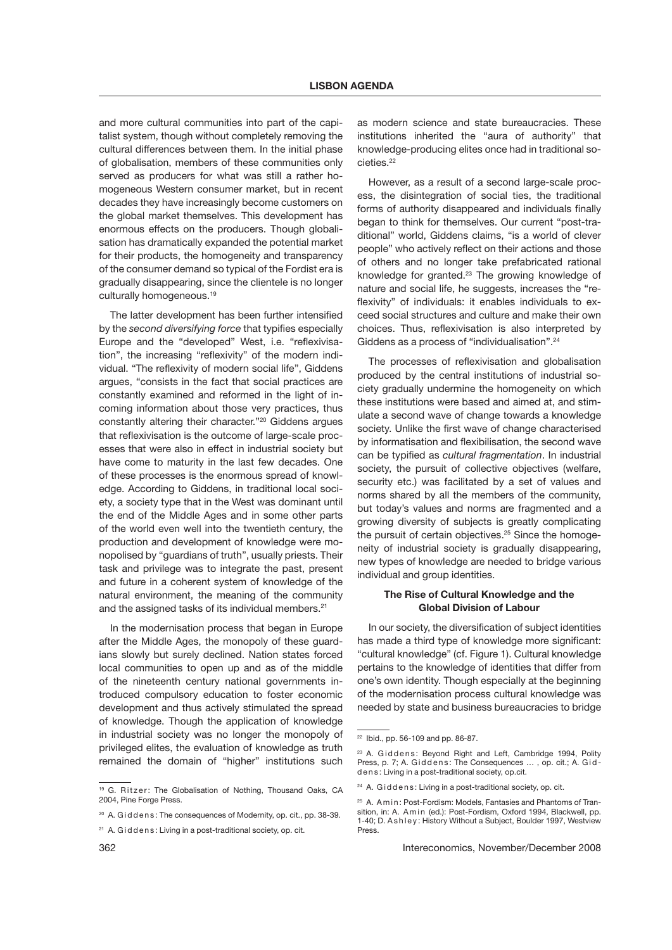and more cultural communities into part of the capitalist system, though without completely removing the cultural differences between them. In the initial phase of globalisation, members of these communities only served as producers for what was still a rather homogeneous Western consumer market, but in recent decades they have increasingly become customers on the global market themselves. This development has enormous effects on the producers. Though globalisation has dramatically expanded the potential market for their products, the homogeneity and transparency of the consumer demand so typical of the Fordist era is gradually disappearing, since the clientele is no longer culturally homogeneous.<sup>19</sup>

The latter development has been further intensified by the *second diversifying force* that typifies especially Europe and the "developed" West, i.e. "reflexivisation", the increasing "reflexivity" of the modern individual. "The reflexivity of modern social life", Giddens argues, "consists in the fact that social practices are constantly examined and reformed in the light of incoming information about those very practices, thus constantly altering their character."20 Giddens argues that reflexivisation is the outcome of large-scale processes that were also in effect in industrial society but have come to maturity in the last few decades. One of these processes is the enormous spread of knowledge. According to Giddens, in traditional local society, a society type that in the West was dominant until the end of the Middle Ages and in some other parts of the world even well into the twentieth century, the production and development of knowledge were monopolised by "guardians of truth", usually priests. Their task and privilege was to integrate the past, present and future in a coherent system of knowledge of the natural environment, the meaning of the community and the assigned tasks of its individual members.<sup>21</sup>

In the modernisation process that began in Europe after the Middle Ages, the monopoly of these guardians slowly but surely declined. Nation states forced local communities to open up and as of the middle of the nineteenth century national governments introduced compulsory education to foster economic development and thus actively stimulated the spread of knowledge. Though the application of knowledge in industrial society was no longer the monopoly of privileged elites, the evaluation of knowledge as truth remained the domain of "higher" institutions such

as modern science and state bureaucracies. These institutions inherited the "aura of authority" that knowledge-producing elites once had in traditional societies.<sup>22</sup>

However, as a result of a second large-scale process, the disintegration of social ties, the traditional forms of authority disappeared and individuals finally began to think for themselves. Our current "post-traditional" world, Giddens claims, "is a world of clever people" who actively reflect on their actions and those of others and no longer take prefabricated rational knowledge for granted.23 The growing knowledge of nature and social life, he suggests, increases the "reflexivity" of individuals: it enables individuals to exceed social structures and culture and make their own choices. Thus, reflexivisation is also interpreted by Giddens as a process of "individualisation".24

The processes of reflexivisation and globalisation produced by the central institutions of industrial society gradually undermine the homogeneity on which these institutions were based and aimed at, and stimulate a second wave of change towards a knowledge society. Unlike the first wave of change characterised by informatisation and flexibilisation, the second wave can be typified as *cultural fragmentation*. In industrial society, the pursuit of collective objectives (welfare, security etc.) was facilitated by a set of values and norms shared by all the members of the community, but today's values and norms are fragmented and a growing diversity of subjects is greatly complicating the pursuit of certain objectives.<sup>25</sup> Since the homogeneity of industrial society is gradually disappearing, new types of knowledge are needed to bridge various individual and group identities.

## **The Rise of Cultural Knowledge and the Global Division of Labour**

In our society, the diversification of subject identities has made a third type of knowledge more significant: "cultural knowledge" (cf. Figure 1). Cultural knowledge pertains to the knowledge of identities that differ from one's own identity. Though especially at the beginning of the modernisation process cultural knowledge was needed by state and business bureaucracies to bridge

<sup>&</sup>lt;sup>19</sup> G. Ritzer: The Globalisation of Nothing, Thousand Oaks, CA 2004, Pine Forge Press.

<sup>&</sup>lt;sup>20</sup> A. Giddens: The consequences of Modernity, op. cit., pp. 38-39.

 $21$  A. Giddens: Living in a post-traditional society, op. cit.

<sup>22</sup> Ibid., pp. 56-109 and pp. 86-87.

<sup>&</sup>lt;sup>23</sup> A. Giddens: Beyond Right and Left, Cambridge 1994, Polity Press, p. 7; A. Giddens: The Consequences ..., op. cit.; A. Gidd e n s : Living in a post-traditional society, op.cit.

<sup>&</sup>lt;sup>24</sup> A. Giddens: Living in a post-traditional society, op. cit.

<sup>&</sup>lt;sup>25</sup> A. A m in : Post-Fordism: Models, Fantasies and Phantoms of Transition, in: A. Amin (ed.): Post-Fordism, Oxford 1994, Blackwell, pp. 1-40; D. Ashley: History Without a Subject, Boulder 1997, Westview Press.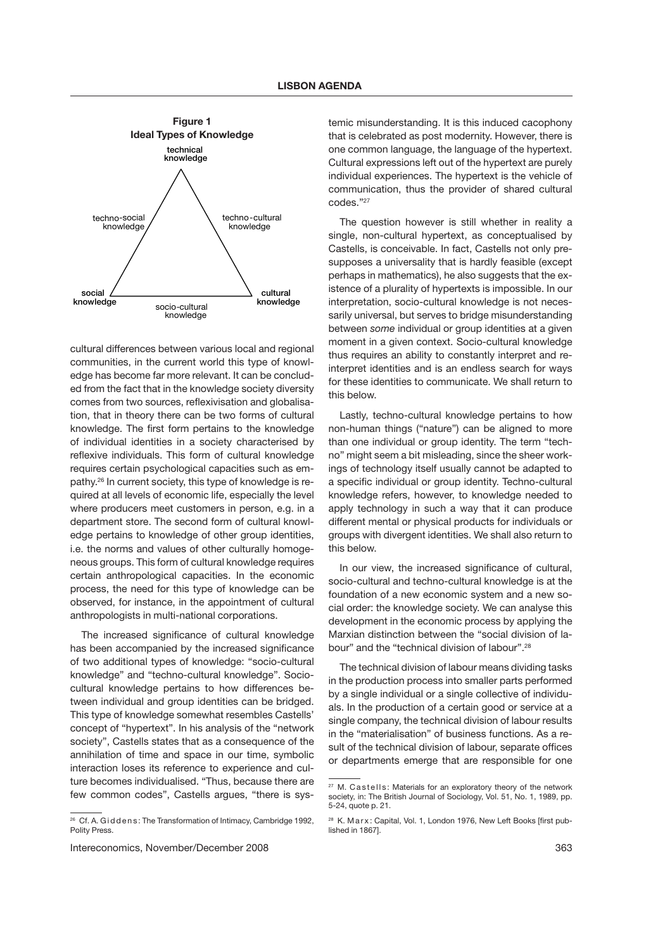

cultural differences between various local and regional communities, in the current world this type of knowledge has become far more relevant. It can be concluded from the fact that in the knowledge society diversity comes from two sources, reflexivisation and globalisation, that in theory there can be two forms of cultural knowledge. The first form pertains to the knowledge of individual identities in a society characterised by reflexive individuals. This form of cultural knowledge requires certain psychological capacities such as empathy.26 In current society, this type of knowledge is required at all levels of economic life, especially the level where producers meet customers in person, e.g. in a department store. The second form of cultural knowledge pertains to knowledge of other group identities, i.e. the norms and values of other culturally homogeneous groups. This form of cultural knowledge requires certain anthropological capacities. In the economic process, the need for this type of knowledge can be observed, for instance, in the appointment of cultural anthropologists in multi-national corporations.

The increased significance of cultural knowledge has been accompanied by the increased significance of two additional types of knowledge: "socio-cultural knowledge" and "techno-cultural knowledge". Sociocultural knowledge pertains to how differences between individual and group identities can be bridged. This type of knowledge somewhat resembles Castells' concept of "hypertext". In his analysis of the "network society", Castells states that as a consequence of the annihilation of time and space in our time, symbolic interaction loses its reference to experience and culture becomes individualised. "Thus, because there are few common codes", Castells argues, "there is sys-

Intereconomics, November/December 2008

temic misunderstanding. It is this induced cacophony that is celebrated as post modernity. However, there is one common language, the language of the hypertext. Cultural expressions left out of the hypertext are purely individual experiences. The hypertext is the vehicle of communication, thus the provider of shared cultural codes."27

The question however is still whether in reality a single, non-cultural hypertext, as conceptualised by Castells, is conceivable. In fact, Castells not only presupposes a universality that is hardly feasible (except perhaps in mathematics), he also suggests that the existence of a plurality of hypertexts is impossible. In our interpretation, socio-cultural knowledge is not necessarily universal, but serves to bridge misunderstanding between *some* individual or group identities at a given moment in a given context. Socio-cultural knowledge thus requires an ability to constantly interpret and reinterpret identities and is an endless search for ways for these identities to communicate. We shall return to this below.

Lastly, techno-cultural knowledge pertains to how non-human things ("nature") can be aligned to more than one individual or group identity. The term "techno" might seem a bit misleading, since the sheer workings of technology itself usually cannot be adapted to a specific individual or group identity. Techno-cultural knowledge refers, however, to knowledge needed to apply technology in such a way that it can produce different mental or physical products for individuals or groups with divergent identities. We shall also return to this below.

In our view, the increased significance of cultural, socio-cultural and techno-cultural knowledge is at the foundation of a new economic system and a new social order: the knowledge society. We can analyse this development in the economic process by applying the Marxian distinction between the "social division of labour" and the "technical division of labour".<sup>28</sup>

The technical division of labour means dividing tasks in the production process into smaller parts performed by a single individual or a single collective of individuals. In the production of a certain good or service at a single company, the technical division of labour results in the "materialisation" of business functions. As a result of the technical division of labour, separate offices or departments emerge that are responsible for one

<sup>&</sup>lt;sup>26</sup> Cf. A. Giddens: The Transformation of Intimacy, Cambridge 1992, Polity Press.

<sup>&</sup>lt;sup>27</sup> M. Castells: Materials for an exploratory theory of the network society, in: The British Journal of Sociology, Vol. 51, No. 1, 1989, pp. 5-24, quote p. 21.

<sup>&</sup>lt;sup>28</sup> K. Marx: Capital, Vol. 1, London 1976, New Left Books [first published in 1867].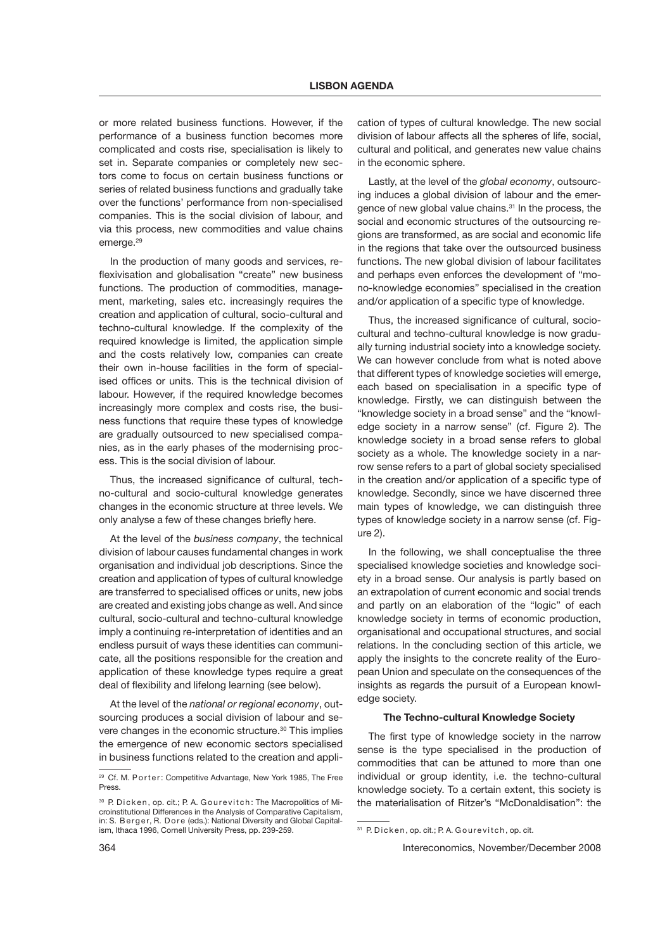or more related business functions. However, if the performance of a business function becomes more complicated and costs rise, specialisation is likely to set in. Separate companies or completely new sectors come to focus on certain business functions or series of related business functions and gradually take over the functions' performance from non-specialised companies. This is the social division of labour, and via this process, new commodities and value chains emerge.<sup>29</sup>

In the production of many goods and services, reflexivisation and globalisation "create" new business functions. The production of commodities, management, marketing, sales etc. increasingly requires the creation and application of cultural, socio-cultural and techno-cultural knowledge. If the complexity of the required knowledge is limited, the application simple and the costs relatively low, companies can create their own in-house facilities in the form of specialised offices or units. This is the technical division of labour. However, if the required knowledge becomes increasingly more complex and costs rise, the business functions that require these types of knowledge are gradually outsourced to new specialised companies, as in the early phases of the modernising process. This is the social division of labour.

Thus, the increased significance of cultural, techno-cultural and socio-cultural knowledge generates changes in the economic structure at three levels. We only analyse a few of these changes briefly here.

At the level of the *business company*, the technical division of labour causes fundamental changes in work organisation and individual job descriptions. Since the creation and application of types of cultural knowledge are transferred to specialised offices or units, new jobs are created and existing jobs change as well. And since cultural, socio-cultural and techno-cultural knowledge imply a continuing re-interpretation of identities and an endless pursuit of ways these identities can communicate, all the positions responsible for the creation and application of these knowledge types require a great deal of flexibility and lifelong learning (see below).

At the level of the *national or regional economy*, outsourcing produces a social division of labour and severe changes in the economic structure.<sup>30</sup> This implies the emergence of new economic sectors specialised in business functions related to the creation and application of types of cultural knowledge. The new social division of labour affects all the spheres of life, social, cultural and political, and generates new value chains in the economic sphere.

Lastly, at the level of the *global economy*, outsourcing induces a global division of labour and the emergence of new global value chains.<sup>31</sup> In the process, the social and economic structures of the outsourcing regions are transformed, as are social and economic life in the regions that take over the outsourced business functions. The new global division of labour facilitates and perhaps even enforces the development of "mono-knowledge economies" specialised in the creation and/or application of a specific type of knowledge.

Thus, the increased significance of cultural, sociocultural and techno-cultural knowledge is now gradually turning industrial society into a knowledge society. We can however conclude from what is noted above that different types of knowledge societies will emerge, each based on specialisation in a specific type of knowledge. Firstly, we can distinguish between the "knowledge society in a broad sense" and the "knowledge society in a narrow sense" (cf. Figure 2). The knowledge society in a broad sense refers to global society as a whole. The knowledge society in a narrow sense refers to a part of global society specialised in the creation and/or application of a specific type of knowledge. Secondly, since we have discerned three main types of knowledge, we can distinguish three types of knowledge society in a narrow sense (cf. Figure 2).

In the following, we shall conceptualise the three specialised knowledge societies and knowledge society in a broad sense. Our analysis is partly based on an extrapolation of current economic and social trends and partly on an elaboration of the "logic" of each knowledge society in terms of economic production, organisational and occupational structures, and social relations. In the concluding section of this article, we apply the insights to the concrete reality of the European Union and speculate on the consequences of the insights as regards the pursuit of a European knowledge society.

# **The Techno-cultural Knowledge Society**

The first type of knowledge society in the narrow sense is the type specialised in the production of commodities that can be attuned to more than one individual or group identity, i.e. the techno-cultural knowledge society. To a certain extent, this society is the materialisation of Ritzer's "McDonaldisation": the

<sup>&</sup>lt;sup>29</sup> Cf. M. Porter: Competitive Advantage, New York 1985, The Free Press.

<sup>&</sup>lt;sup>30</sup> P. Dicken, op. cit.; P. A. Gourevitch: The Macropolitics of Microinstitutional Differences in the Analysis of Comparative Capitalism, in: S. B e rg e r, R. D o re (eds.): National Diversity and Global Capitalism, Ithaca 1996, Cornell University Press, pp. 239-259.

 $31$  P. Dicken, op. cit.; P. A. Gourevitch, op. cit.

<sup>364</sup> Intereconomics, November/December 2008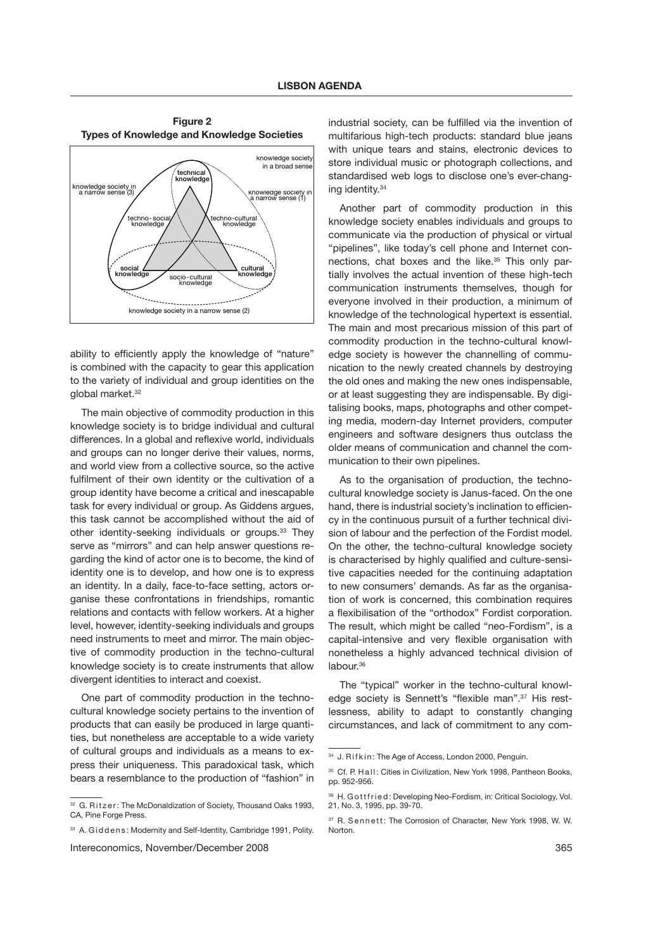

ability to efficiently apply the knowledge of "nature" is combined with the capacity to gear this application to the variety of individual and group identities on the global market.<sup>32</sup>

The main objective of commodity production in this knowledge society is to bridge individual and cultural differences. In a global and reflexive world, individuals and groups can no longer derive their values, norms, and world view from a collective source, so the active fulfilment of their own identity or the cultivation of a group identity have become a critical and inescapable task for every individual or group. As Giddens argues, this task cannot be accomplished without the aid of other identity-seeking individuals or groups.<sup>33</sup> They serve as "mirrors" and can help answer questions regarding the kind of actor one is to become, the kind of identity one is to develop, and how one is to express an identity. In a daily, face-to-face setting, actors organise these confrontations in friendships, romantic relations and contacts with fellow workers. At a higher level, however, identity-seeking individuals and groups need instruments to meet and mirror. The main objective of commodity production in the techno-cultural knowledge society is to create instruments that allow divergent identities to interact and coexist.

One part of commodity production in the technocultural knowledge society pertains to the invention of products that can easily be produced in large quantities, but nonetheless are acceptable to a wide variety of cultural groups and individuals as a means to express their uniqueness. This paradoxical task, which bears a resemblance to the production of "fashion" in industrial society, can be fulfilled via the invention of multifarious high-tech products: standard blue jeans with unique tears and stains, electronic devices to store individual music or photograph collections, and standardised web logs to disclose one's ever-changing identity.34

Another part of commodity production in this knowledge society enables individuals and groups to communicate via the production of physical or virtual "pipelines", like today's cell phone and Internet connections, chat boxes and the like.<sup>35</sup> This only partially involves the actual invention of these high-tech communication instruments themselves, though for everyone involved in their production, a minimum of knowledge of the technological hypertext is essential. The main and most precarious mission of this part of commodity production in the techno-cultural knowledge society is however the channelling of communication to the newly created channels by destroying the old ones and making the new ones indispensable, or at least suggesting they are indispensable. By digitalising books, maps, photographs and other competing media, modern-day Internet providers, computer engineers and software designers thus outclass the older means of communication and channel the communication to their own pipelines.

As to the organisation of production, the technocultural knowledge society is Janus-faced. On the one hand, there is industrial society's inclination to efficiency in the continuous pursuit of a further technical division of labour and the perfection of the Fordist model. On the other, the techno-cultural knowledge society is characterised by highly qualified and culture-sensitive capacities needed for the continuing adaptation to new consumers' demands. As far as the organisation of work is concerned, this combination requires a flexibilisation of the "orthodox" Fordist corporation. The result, which might be called "neo-Fordism", is a capital-intensive and very flexible organisation with nonetheless a highly advanced technical division of labour.36

The "typical" worker in the techno-cultural knowledge society is Sennett's "flexible man".<sup>37</sup> His restlessness, ability to adapt to constantly changing circumstances, and lack of commitment to any com-

<sup>32</sup> G. Ritzer: The McDonaldization of Society, Thousand Oaks 1993, CA, Pine Forge Press.

<sup>&</sup>lt;sup>33</sup> A. Giddens: Modernity and Self-Identity, Cambridge 1991, Polity.

Intereconomics, November/December 2008

<sup>34</sup> J. Rifkin: The Age of Access, London 2000, Penguin.

<sup>35</sup> Cf. P. Hall: Cities in Civilization, New York 1998, Pantheon Books, pp. 952-956.

<sup>36</sup> H. Gottfried: Developing Neo-Fordism, in: Critical Sociology, Vol. 21, No. 3, 1995, pp. 39-70.

<sup>&</sup>lt;sup>37</sup> R. Sennett: The Corrosion of Character, New York 1998, W. W. Norton.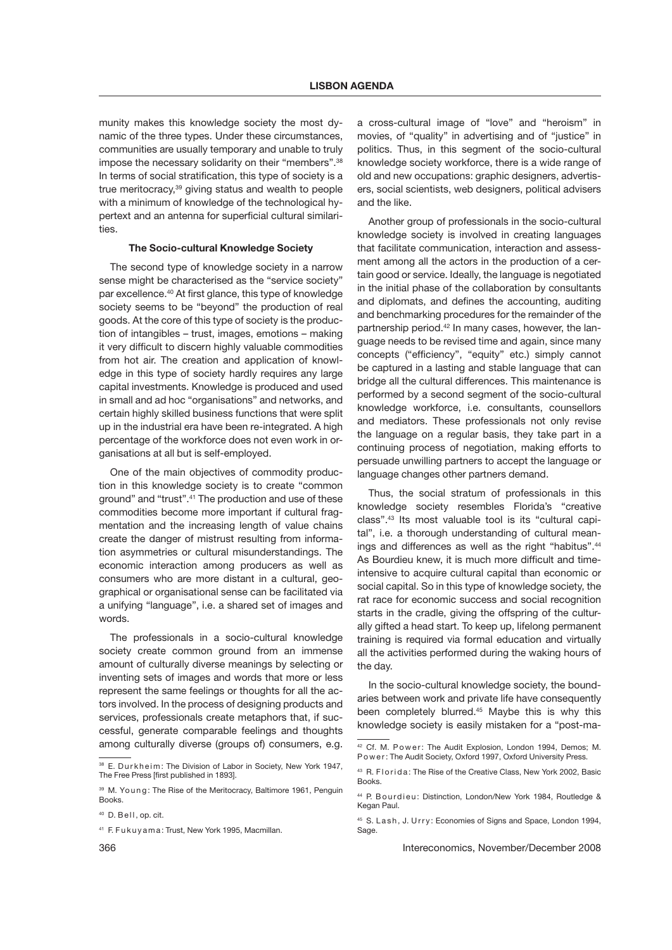munity makes this knowledge society the most dynamic of the three types. Under these circumstances, communities are usually temporary and unable to truly impose the necessary solidarity on their "members".38 In terms of social stratification, this type of society is a true meritocracy,<sup>39</sup> giving status and wealth to people with a minimum of knowledge of the technological hypertext and an antenna for superficial cultural similarities.

#### **The Socio-cultural Knowledge Society**

The second type of knowledge society in a narrow sense might be characterised as the "service society" par excellence.<sup>40</sup> At first glance, this type of knowledge society seems to be "beyond" the production of real goods. At the core of this type of society is the production of intangibles – trust, images, emotions – making it very difficult to discern highly valuable commodities from hot air. The creation and application of knowledge in this type of society hardly requires any large capital investments. Knowledge is produced and used in small and ad hoc "organisations" and networks, and certain highly skilled business functions that were split up in the industrial era have been re-integrated. A high percentage of the workforce does not even work in organisations at all but is self-employed.

One of the main objectives of commodity production in this knowledge society is to create "common ground" and "trust".41 The production and use of these commodities become more important if cultural fragmentation and the increasing length of value chains create the danger of mistrust resulting from information asymmetries or cultural misunderstandings. The economic interaction among producers as well as consumers who are more distant in a cultural, geographical or organisational sense can be facilitated via a unifying "language", i.e. a shared set of images and words.

The professionals in a socio-cultural knowledge society create common ground from an immense amount of culturally diverse meanings by selecting or inventing sets of images and words that more or less represent the same feelings or thoughts for all the actors involved. In the process of designing products and services, professionals create metaphors that, if successful, generate comparable feelings and thoughts among culturally diverse (groups of) consumers, e.g.

a cross-cultural image of "love" and "heroism" in movies, of "quality" in advertising and of "justice" in politics. Thus, in this segment of the socio-cultural knowledge society workforce, there is a wide range of old and new occupations: graphic designers, advertisers, social scientists, web designers, political advisers and the like.

Another group of professionals in the socio-cultural knowledge society is involved in creating languages that facilitate communication, interaction and assessment among all the actors in the production of a certain good or service. Ideally, the language is negotiated in the initial phase of the collaboration by consultants and diplomats, and defines the accounting, auditing and benchmarking procedures for the remainder of the partnership period.<sup>42</sup> In many cases, however, the language needs to be revised time and again, since many concepts ("efficiency", "equity" etc.) simply cannot be captured in a lasting and stable language that can bridge all the cultural differences. This maintenance is performed by a second segment of the socio-cultural knowledge workforce, i.e. consultants, counsellors and mediators. These professionals not only revise the language on a regular basis, they take part in a continuing process of negotiation, making efforts to persuade unwilling partners to accept the language or language changes other partners demand.

Thus, the social stratum of professionals in this knowledge society resembles Florida's "creative class".43 Its most valuable tool is its "cultural capital", i.e. a thorough understanding of cultural meanings and differences as well as the right "habitus".44 As Bourdieu knew, it is much more difficult and timeintensive to acquire cultural capital than economic or social capital. So in this type of knowledge society, the rat race for economic success and social recognition starts in the cradle, giving the offspring of the culturally gifted a head start. To keep up, lifelong permanent training is required via formal education and virtually all the activities performed during the waking hours of the day.

In the socio-cultural knowledge society, the boundaries between work and private life have consequently been completely blurred.<sup>45</sup> Maybe this is why this knowledge society is easily mistaken for a "post-ma-

<sup>38</sup> E. Durkheim: The Division of Labor in Society, New York 1947, The Free Press [first published in 1893].

<sup>39</sup> M. Young: The Rise of the Meritocracy, Baltimore 1961, Penguin Books.

 $40$  D. Bell, op. cit.

<sup>&</sup>lt;sup>41</sup> F. Fukuyama: Trust, New York 1995, Macmillan.

<sup>&</sup>lt;sup>42</sup> Cf. M. Power: The Audit Explosion, London 1994, Demos; M. Power: The Audit Society, Oxford 1997, Oxford University Press.

<sup>43</sup> R. Florida: The Rise of the Creative Class, New York 2002, Basic Books.

<sup>44</sup> P. Bourdieu: Distinction, London/New York 1984, Routledge & Kegan Paul.

<sup>&</sup>lt;sup>45</sup> S. Lash, J. Urry: Economies of Signs and Space, London 1994, Sage.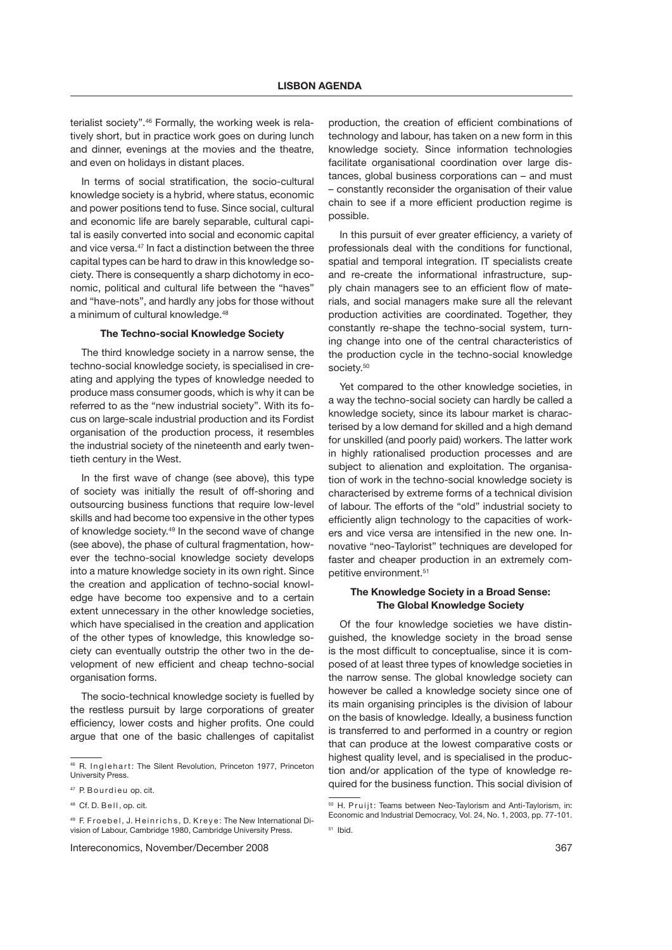terialist society".46 Formally, the working week is relatively short, but in practice work goes on during lunch and dinner, evenings at the movies and the theatre, and even on holidays in distant places.

In terms of social stratification, the socio-cultural knowledge society is a hybrid, where status, economic and power positions tend to fuse. Since social, cultural and economic life are barely separable, cultural capital is easily converted into social and economic capital and vice versa.<sup>47</sup> In fact a distinction between the three capital types can be hard to draw in this knowledge society. There is consequently a sharp dichotomy in economic, political and cultural life between the "haves" and "have-nots", and hardly any jobs for those without a minimum of cultural knowledge.<sup>48</sup>

#### **The Techno-social Knowledge Society**

The third knowledge society in a narrow sense, the techno-social knowledge society, is specialised in creating and applying the types of knowledge needed to produce mass consumer goods, which is why it can be referred to as the "new industrial society". With its focus on large-scale industrial production and its Fordist organisation of the production process, it resembles the industrial society of the nineteenth and early twentieth century in the West.

In the first wave of change (see above), this type of society was initially the result of off-shoring and outsourcing business functions that require low-level skills and had become too expensive in the other types of knowledge society.49 In the second wave of change (see above), the phase of cultural fragmentation, however the techno-social knowledge society develops into a mature knowledge society in its own right. Since the creation and application of techno-social knowledge have become too expensive and to a certain extent unnecessary in the other knowledge societies, which have specialised in the creation and application of the other types of knowledge, this knowledge society can eventually outstrip the other two in the development of new efficient and cheap techno-social organisation forms.

The socio-technical knowledge society is fuelled by the restless pursuit by large corporations of greater efficiency, lower costs and higher profits. One could argue that one of the basic challenges of capitalist

Intereconomics, November/December 2008

production, the creation of efficient combinations of technology and labour, has taken on a new form in this knowledge society. Since information technologies facilitate organisational coordination over large distances, global business corporations can – and must – constantly reconsider the organisation of their value chain to see if a more efficient production regime is possible.

In this pursuit of ever greater efficiency, a variety of professionals deal with the conditions for functional, spatial and temporal integration. IT specialists create and re-create the informational infrastructure, supply chain managers see to an efficient flow of materials, and social managers make sure all the relevant production activities are coordinated. Together, they constantly re-shape the techno-social system, turning change into one of the central characteristics of the production cycle in the techno-social knowledge society.<sup>50</sup>

Yet compared to the other knowledge societies, in a way the techno-social society can hardly be called a knowledge society, since its labour market is characterised by a low demand for skilled and a high demand for unskilled (and poorly paid) workers. The latter work in highly rationalised production processes and are subject to alienation and exploitation. The organisation of work in the techno-social knowledge society is characterised by extreme forms of a technical division of labour. The efforts of the "old" industrial society to efficiently align technology to the capacities of workers and vice versa are intensified in the new one. Innovative "neo-Taylorist" techniques are developed for faster and cheaper production in an extremely competitive environment.<sup>51</sup>

## **The Knowledge Society in a Broad Sense: The Global Knowledge Society**

Of the four knowledge societies we have distinguished, the knowledge society in the broad sense is the most difficult to conceptualise, since it is composed of at least three types of knowledge societies in the narrow sense. The global knowledge society can however be called a knowledge society since one of its main organising principles is the division of labour on the basis of knowledge. Ideally, a business function is transferred to and performed in a country or region that can produce at the lowest comparative costs or highest quality level, and is specialised in the production and/or application of the type of knowledge required for the business function. This social division of

<sup>&</sup>lt;sup>46</sup> R. Inglehart: The Silent Revolution, Princeton 1977, Princeton University Press.

<sup>&</sup>lt;sup>47</sup> P. Bourdieu op. cit.

<sup>&</sup>lt;sup>48</sup> Cf. D. Bell, op. cit.

<sup>&</sup>lt;sup>49</sup> F. Froebel, J. Heinrichs, D. Kreye: The New International Division of Labour, Cambridge 1980, Cambridge University Press.

<sup>&</sup>lt;sup>50</sup> H. Pruijt: Teams between Neo-Taylorism and Anti-Taylorism, in: Economic and Industrial Democracy, Vol. 24, No. 1, 2003, pp. 77-101.  $51$  Ibid.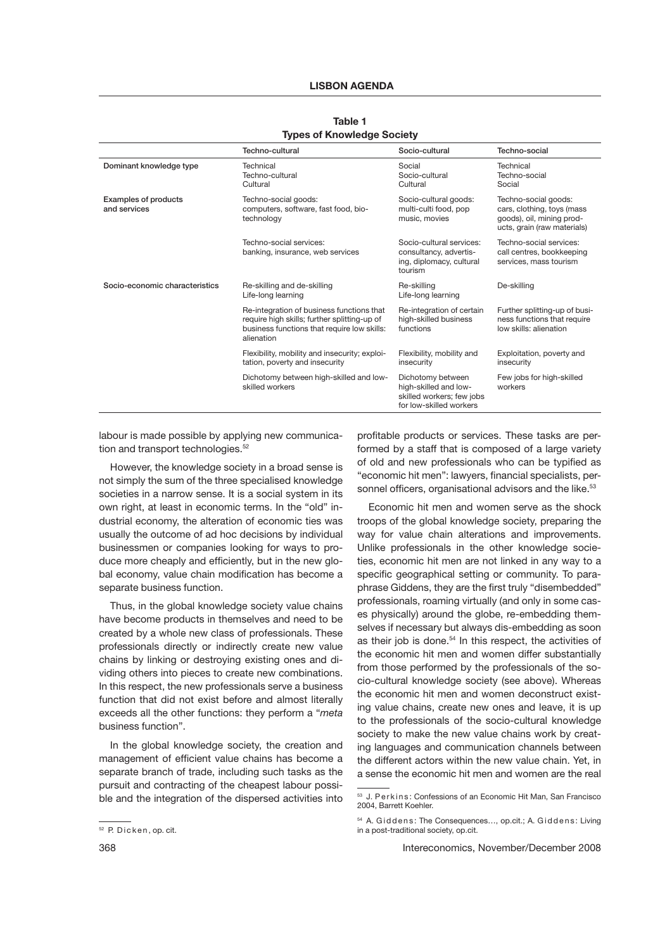|                                             | Techno-cultural                                                                                                                                        | Socio-cultural                                                                                     | Techno-social                                                                                                  |
|---------------------------------------------|--------------------------------------------------------------------------------------------------------------------------------------------------------|----------------------------------------------------------------------------------------------------|----------------------------------------------------------------------------------------------------------------|
| Dominant knowledge type                     | Technical<br>Techno-cultural<br>Cultural                                                                                                               | Social<br>Socio-cultural<br>Cultural                                                               | Technical<br>Techno-social<br>Social                                                                           |
| <b>Examples of products</b><br>and services | Techno-social goods:<br>computers, software, fast food, bio-<br>technology                                                                             | Socio-cultural goods:<br>multi-culti food, pop<br>music, movies                                    | Techno-social goods:<br>cars, clothing, toys (mass<br>goods), oil, mining prod-<br>ucts, grain (raw materials) |
|                                             | Techno-social services:<br>banking, insurance, web services                                                                                            | Socio-cultural services:<br>consultancy, advertis-<br>ing, diplomacy, cultural<br>tourism          | Techno-social services:<br>call centres, bookkeeping<br>services, mass tourism                                 |
| Socio-economic characteristics              | Re-skilling and de-skilling<br>Life-long learning                                                                                                      | Re-skilling<br>Life-long learning                                                                  | De-skilling                                                                                                    |
|                                             | Re-integration of business functions that<br>require high skills; further splitting-up of<br>business functions that require low skills:<br>alienation | Re-integration of certain<br>high-skilled business<br>functions                                    | Further splitting-up of busi-<br>ness functions that require<br>low skills: alienation                         |
|                                             | Flexibility, mobility and insecurity; exploi-<br>tation, poverty and insecurity                                                                        | Flexibility, mobility and<br>insecurity                                                            | Exploitation, poverty and<br>insecurity                                                                        |
|                                             | Dichotomy between high-skilled and low-<br>skilled workers                                                                                             | Dichotomy between<br>high-skilled and low-<br>skilled workers; few jobs<br>for low-skilled workers | Few jobs for high-skilled<br>workers                                                                           |

**Table 1 Types of Knowledge Society**

labour is made possible by applying new communication and transport technologies.<sup>52</sup>

However, the knowledge society in a broad sense is not simply the sum of the three specialised knowledge societies in a narrow sense. It is a social system in its own right, at least in economic terms. In the "old" industrial economy, the alteration of economic ties was usually the outcome of ad hoc decisions by individual businessmen or companies looking for ways to produce more cheaply and efficiently, but in the new global economy, value chain modification has become a separate business function.

Thus, in the global knowledge society value chains have become products in themselves and need to be created by a whole new class of professionals. These professionals directly or indirectly create new value chains by linking or destroying existing ones and dividing others into pieces to create new combinations. In this respect, the new professionals serve a business function that did not exist before and almost literally exceeds all the other functions: they perform a "*meta* business function".

In the global knowledge society, the creation and management of efficient value chains has become a separate branch of trade, including such tasks as the pursuit and contracting of the cheapest labour possible and the integration of the dispersed activities into

profitable products or services. These tasks are performed by a staff that is composed of a large variety of old and new professionals who can be typified as "economic hit men": lawyers, financial specialists, personnel officers, organisational advisors and the like.<sup>53</sup>

Economic hit men and women serve as the shock troops of the global knowledge society, preparing the way for value chain alterations and improvements. Unlike professionals in the other knowledge societies, economic hit men are not linked in any way to a specific geographical setting or community. To paraphrase Giddens, they are the first truly "disembedded" professionals, roaming virtually (and only in some cases physically) around the globe, re-embedding themselves if necessary but always dis-embedding as soon as their job is done.<sup>54</sup> In this respect, the activities of the economic hit men and women differ substantially from those performed by the professionals of the socio-cultural knowledge society (see above). Whereas the economic hit men and women deconstruct existing value chains, create new ones and leave, it is up to the professionals of the socio-cultural knowledge society to make the new value chains work by creating languages and communication channels between the different actors within the new value chain. Yet, in a sense the economic hit men and women are the real

<sup>&</sup>lt;sup>52</sup> P. Dicken, op. cit.

<sup>53</sup> J. Perkins: Confessions of an Economic Hit Man, San Francisco 2004, Barrett Koehler.

<sup>&</sup>lt;sup>54</sup> A. Giddens: The Consequences..., op.cit.; A. Giddens: Living in a post-traditional society, op.cit.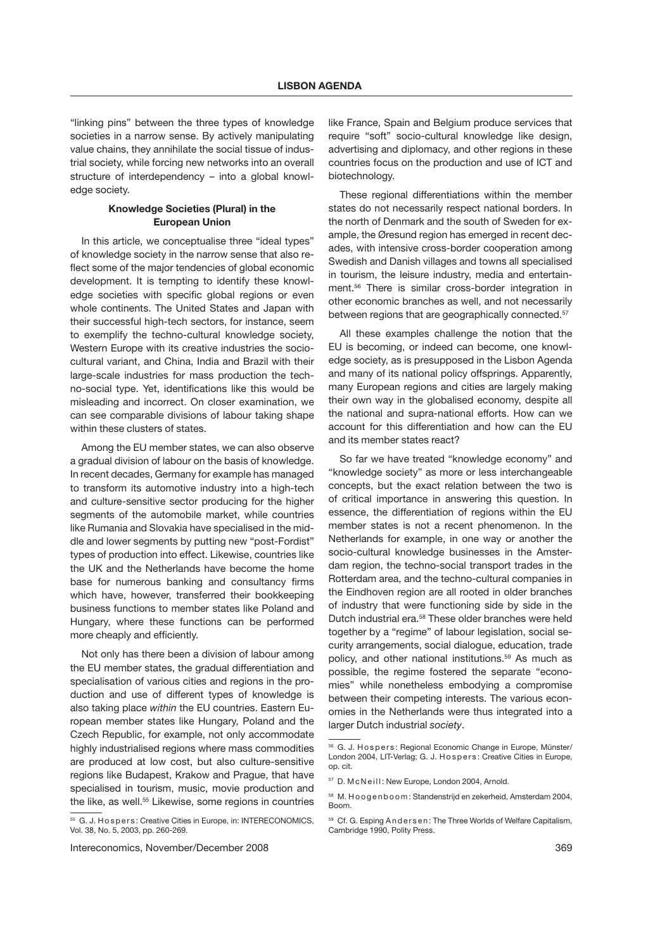"linking pins" between the three types of knowledge societies in a narrow sense. By actively manipulating value chains, they annihilate the social tissue of industrial society, while forcing new networks into an overall structure of interdependency – into a global knowledge society.

# **Knowledge Societies (Plural) in the European Union**

In this article, we conceptualise three "ideal types" of knowledge society in the narrow sense that also reflect some of the major tendencies of global economic development. It is tempting to identify these knowledge societies with specific global regions or even whole continents. The United States and Japan with their successful high-tech sectors, for instance, seem to exemplify the techno-cultural knowledge society, Western Europe with its creative industries the sociocultural variant, and China, India and Brazil with their large-scale industries for mass production the techno-social type. Yet, identifications like this would be misleading and incorrect. On closer examination, we can see comparable divisions of labour taking shape within these clusters of states.

Among the EU member states, we can also observe a gradual division of labour on the basis of knowledge. In recent decades, Germany for example has managed to transform its automotive industry into a high-tech and culture-sensitive sector producing for the higher segments of the automobile market, while countries like Rumania and Slovakia have specialised in the middle and lower segments by putting new "post-Fordist" types of production into effect. Likewise, countries like the UK and the Netherlands have become the home base for numerous banking and consultancy firms which have, however, transferred their bookkeeping business functions to member states like Poland and Hungary, where these functions can be performed more cheaply and efficiently.

Not only has there been a division of labour among the EU member states, the gradual differentiation and specialisation of various cities and regions in the production and use of different types of knowledge is also taking place *within* the EU countries. Eastern European member states like Hungary, Poland and the Czech Republic, for example, not only accommodate highly industrialised regions where mass commodities are produced at low cost, but also culture-sensitive regions like Budapest, Krakow and Prague, that have specialised in tourism, music, movie production and the like, as well.<sup>55</sup> Likewise, some regions in countries

Intereconomics, November/December 2008

like France, Spain and Belgium produce services that require "soft" socio-cultural knowledge like design, advertising and diplomacy, and other regions in these countries focus on the production and use of ICT and biotechnology.

These regional differentiations within the member states do not necessarily respect national borders. In the north of Denmark and the south of Sweden for example, the Øresund region has emerged in recent decades, with intensive cross-border cooperation among Swedish and Danish villages and towns all specialised in tourism, the leisure industry, media and entertainment.56 There is similar cross-border integration in other economic branches as well, and not necessarily between regions that are geographically connected.<sup>57</sup>

All these examples challenge the notion that the EU is becoming, or indeed can become, one knowledge society, as is presupposed in the Lisbon Agenda and many of its national policy offsprings. Apparently, many European regions and cities are largely making their own way in the globalised economy, despite all the national and supra-national efforts. How can we account for this differentiation and how can the EU and its member states react?

So far we have treated "knowledge economy" and "knowledge society" as more or less interchangeable concepts, but the exact relation between the two is of critical importance in answering this question. In essence, the differentiation of regions within the EU member states is not a recent phenomenon. In the Netherlands for example, in one way or another the socio-cultural knowledge businesses in the Amsterdam region, the techno-social transport trades in the Rotterdam area, and the techno-cultural companies in the Eindhoven region are all rooted in older branches of industry that were functioning side by side in the Dutch industrial era.<sup>58</sup> These older branches were held together by a "regime" of labour legislation, social security arrangements, social dialogue, education, trade policy, and other national institutions.<sup>59</sup> As much as possible, the regime fostered the separate "economies" while nonetheless embodying a compromise between their competing interests. The various economies in the Netherlands were thus integrated into a larger Dutch industrial *society*.

<sup>&</sup>lt;sup>55</sup> G. J. Hospers: Creative Cities in Europe, in: INTERECONOMICS, Vol. 38, No. 5, 2003, pp. 260-269.

<sup>56</sup> G. J. Hospers: Regional Economic Change in Europe, Münster/ London 2004, LIT-Verlag; G. J. Hospers: Creative Cities in Europe, op. cit.

<sup>&</sup>lt;sup>57</sup> D. M c N e ill: New Europe, London 2004, Arnold.

<sup>58</sup> M. H o o g e n b o o m : Standenstrijd en zekerheid, Amsterdam 2004, Boom.

<sup>59</sup> Cf. G. Esping Andersen: The Three Worlds of Welfare Capitalism, Cambridge 1990, Polity Press.